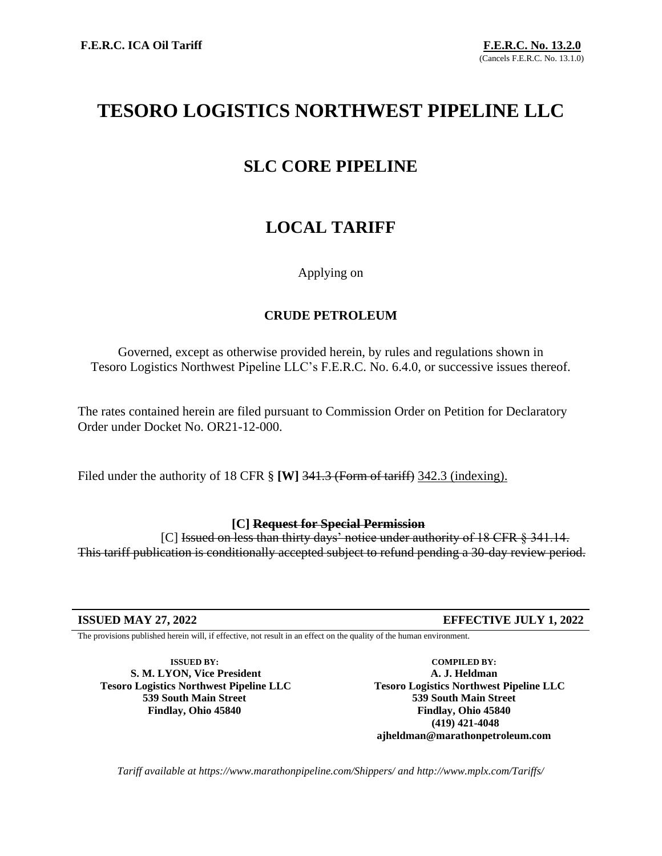# **TESORO LOGISTICS NORTHWEST PIPELINE LLC**

## **SLC CORE PIPELINE**

# **LOCAL TARIFF**

## Applying on

## **CRUDE PETROLEUM**

Governed, except as otherwise provided herein, by rules and regulations shown in Tesoro Logistics Northwest Pipeline LLC's F.E.R.C. No. 6.4.0, or successive issues thereof.

The rates contained herein are filed pursuant to Commission Order on Petition for Declaratory Order under Docket No. OR21-12-000.

Filed under the authority of 18 CFR § **[W]** 341.3 (Form of tariff) 342.3 (indexing).

### **[C] Request for Special Permission**

[C] Issued on less than thirty days' notice under authority of 18 CFR § 341.14. This tariff publication is conditionally accepted subject to refund pending a 30-day review period.

The provisions published herein will, if effective, not result in an effect on the quality of the human environment.

**ISSUED BY: S. M. LYON, Vice President Tesoro Logistics Northwest Pipeline LLC 539 South Main Street Findlay, Ohio 45840**

**COMPILED BY: A. J. Heldman Tesoro Logistics Northwest Pipeline LLC 539 South Main Street Findlay, Ohio 45840 (419) 421-4048 ajheldman@marathonpetroleum.com**

*Tariff available at https://www.marathonpipeline.com/Shippers/ and http://www.mplx.com/Tariffs/*

**ISSUED MAY 27, 2022 EFFECTIVE JULY 1, 2022**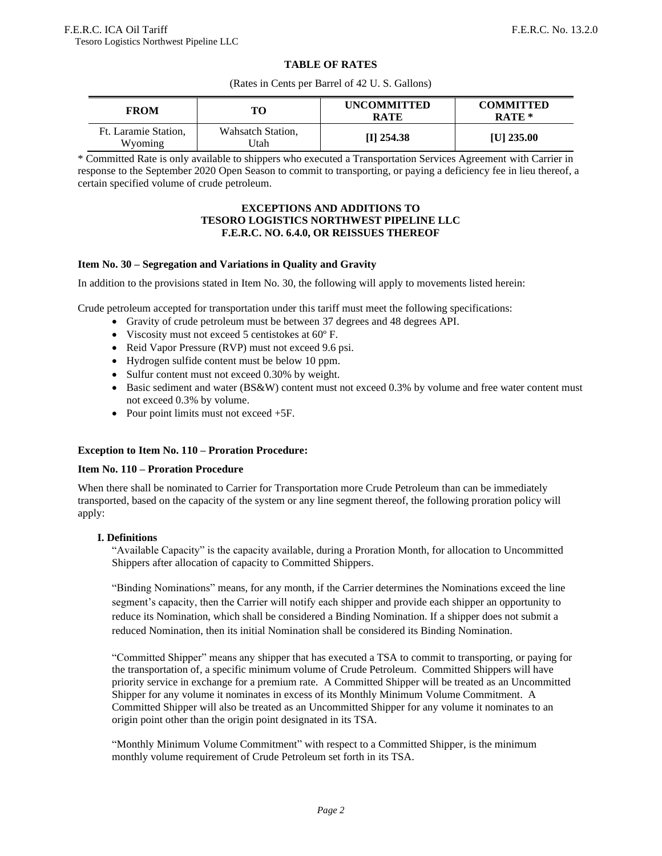#### **TABLE OF RATES**

(Rates in Cents per Barrel of 42 U. S. Gallons)

| <b>FROM</b>                     | TО                          | <b>UNCOMMITTED</b><br><b>RATE</b> | <b>COMMITTED</b><br>RATE * |
|---------------------------------|-----------------------------|-----------------------------------|----------------------------|
| Ft. Laramie Station.<br>Wyoming | Wahsatch Station,<br>Utah ! | $[I]$ 254.38                      | $[U]$ 235.00               |

\* Committed Rate is only available to shippers who executed a Transportation Services Agreement with Carrier in response to the September 2020 Open Season to commit to transporting, or paying a deficiency fee in lieu thereof, a certain specified volume of crude petroleum.

#### **EXCEPTIONS AND ADDITIONS TO TESORO LOGISTICS NORTHWEST PIPELINE LLC F.E.R.C. NO. 6.4.0, OR REISSUES THEREOF**

#### **Item No. 30 – Segregation and Variations in Quality and Gravity**

In addition to the provisions stated in Item No. 30, the following will apply to movements listed herein:

Crude petroleum accepted for transportation under this tariff must meet the following specifications:

- Gravity of crude petroleum must be between 37 degrees and 48 degrees API.
- Viscosity must not exceed 5 centistokes at 60º F.
- Reid Vapor Pressure (RVP) must not exceed 9.6 psi.
- Hydrogen sulfide content must be below 10 ppm.
- Sulfur content must not exceed 0.30% by weight.
- Basic sediment and water (BS&W) content must not exceed 0.3% by volume and free water content must not exceed 0.3% by volume.
- Pour point limits must not exceed  $+5F$ .

#### **Exception to Item No. 110 – Proration Procedure:**

#### **Item No. 110 – Proration Procedure**

When there shall be nominated to Carrier for Transportation more Crude Petroleum than can be immediately transported, based on the capacity of the system or any line segment thereof, the following proration policy will apply:

#### **I. Definitions**

"Available Capacity" is the capacity available, during a Proration Month, for allocation to Uncommitted Shippers after allocation of capacity to Committed Shippers.

"Binding Nominations" means, for any month, if the Carrier determines the Nominations exceed the line segment's capacity, then the Carrier will notify each shipper and provide each shipper an opportunity to reduce its Nomination, which shall be considered a Binding Nomination. If a shipper does not submit a reduced Nomination, then its initial Nomination shall be considered its Binding Nomination.

"Committed Shipper" means any shipper that has executed a TSA to commit to transporting, or paying for the transportation of, a specific minimum volume of Crude Petroleum. Committed Shippers will have priority service in exchange for a premium rate. A Committed Shipper will be treated as an Uncommitted Shipper for any volume it nominates in excess of its Monthly Minimum Volume Commitment. A Committed Shipper will also be treated as an Uncommitted Shipper for any volume it nominates to an origin point other than the origin point designated in its TSA.

"Monthly Minimum Volume Commitment" with respect to a Committed Shipper, is the minimum monthly volume requirement of Crude Petroleum set forth in its TSA.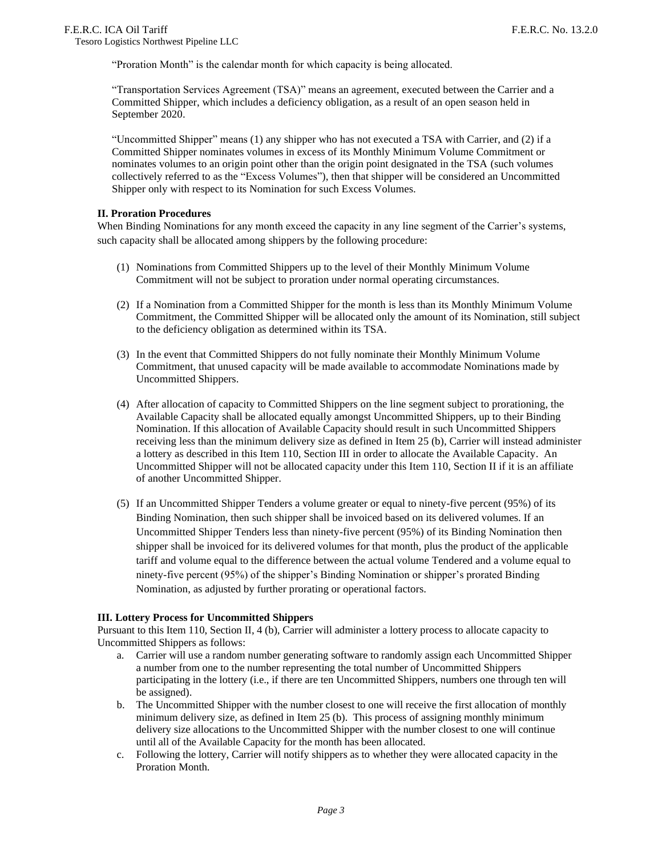"Proration Month" is the calendar month for which capacity is being allocated.

"Transportation Services Agreement (TSA)" means an agreement, executed between the Carrier and a Committed Shipper, which includes a deficiency obligation, as a result of an open season held in September 2020.

"Uncommitted Shipper" means (1) any shipper who has not executed a TSA with Carrier, and (2) if a Committed Shipper nominates volumes in excess of its Monthly Minimum Volume Commitment or nominates volumes to an origin point other than the origin point designated in the TSA (such volumes collectively referred to as the "Excess Volumes"), then that shipper will be considered an Uncommitted Shipper only with respect to its Nomination for such Excess Volumes.

#### **II. Proration Procedures**

When Binding Nominations for any month exceed the capacity in any line segment of the Carrier's systems, such capacity shall be allocated among shippers by the following procedure:

- (1) Nominations from Committed Shippers up to the level of their Monthly Minimum Volume Commitment will not be subject to proration under normal operating circumstances.
- (2) If a Nomination from a Committed Shipper for the month is less than its Monthly Minimum Volume Commitment, the Committed Shipper will be allocated only the amount of its Nomination, still subject to the deficiency obligation as determined within its TSA.
- (3) In the event that Committed Shippers do not fully nominate their Monthly Minimum Volume Commitment, that unused capacity will be made available to accommodate Nominations made by Uncommitted Shippers.
- (4) After allocation of capacity to Committed Shippers on the line segment subject to prorationing, the Available Capacity shall be allocated equally amongst Uncommitted Shippers, up to their Binding Nomination. If this allocation of Available Capacity should result in such Uncommitted Shippers receiving less than the minimum delivery size as defined in Item 25 (b), Carrier will instead administer a lottery as described in this Item 110, Section III in order to allocate the Available Capacity. An Uncommitted Shipper will not be allocated capacity under this Item 110, Section II if it is an affiliate of another Uncommitted Shipper.
- (5) If an Uncommitted Shipper Tenders a volume greater or equal to ninety-five percent (95%) of its Binding Nomination, then such shipper shall be invoiced based on its delivered volumes. If an Uncommitted Shipper Tenders less than ninety-five percent (95%) of its Binding Nomination then shipper shall be invoiced for its delivered volumes for that month, plus the product of the applicable tariff and volume equal to the difference between the actual volume Tendered and a volume equal to ninety-five percent (95%) of the shipper's Binding Nomination or shipper's prorated Binding Nomination, as adjusted by further prorating or operational factors.

#### **III. Lottery Process for Uncommitted Shippers**

Pursuant to this Item 110, Section II, 4 (b), Carrier will administer a lottery process to allocate capacity to Uncommitted Shippers as follows:

- a. Carrier will use a random number generating software to randomly assign each Uncommitted Shipper a number from one to the number representing the total number of Uncommitted Shippers participating in the lottery (i.e., if there are ten Uncommitted Shippers, numbers one through ten will be assigned).
- b. The Uncommitted Shipper with the number closest to one will receive the first allocation of monthly minimum delivery size, as defined in Item 25 (b). This process of assigning monthly minimum delivery size allocations to the Uncommitted Shipper with the number closest to one will continue until all of the Available Capacity for the month has been allocated.
- c. Following the lottery, Carrier will notify shippers as to whether they were allocated capacity in the Proration Month.